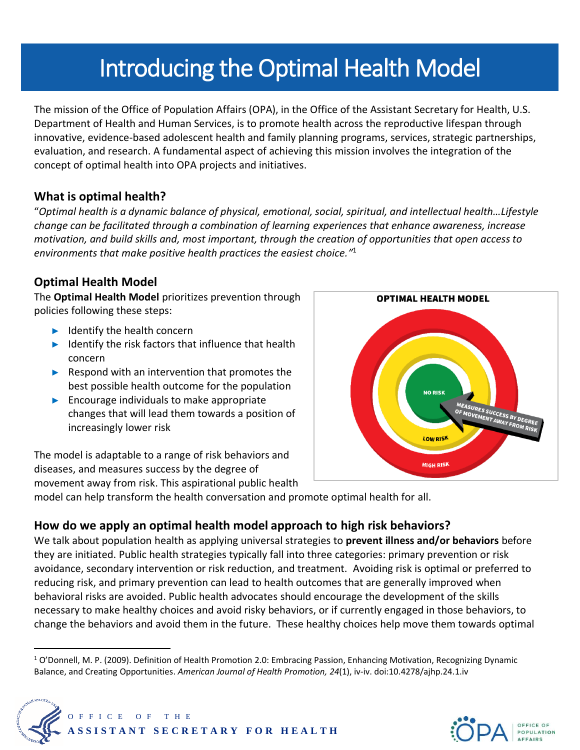# Introducing the Optimal Health Model

The mission of the Office of Population Affairs (OPA), in the Office of the Assistant Secretary for Health, U.S. Department of Health and Human Services, is to promote health across the reproductive lifespan through innovative, evidence-based adolescent health and family planning programs, services, strategic partnerships, evaluation, and research. A fundamental aspect of achieving this mission involves the integration of the concept of optimal health into OPA projects and initiatives.

### **What is optimal health?**

"*Optimal health is a dynamic balance of physical, emotional, social, spiritual, and intellectual health…Lifestyle change can be facilitated through a combination of learning experiences that enhance awareness, increase motivation, and build skills and, most important, through the creation of opportunities that open access to environments that make positive health practices the easiest choice."* 1

### **Optimal Health Model**

The **Optimal Health Model** prioritizes prevention through policies following these steps:

- ► Identify the health concern
- ► Identify the risk factors that influence that health concern
- ► Respond with an intervention that promotes the best possible health outcome for the population
- ► Encourage individuals to make appropriate changes that will lead them towards a position of increasingly lower risk

The model is adaptable to a range of risk behaviors and diseases, and measures success by the degree of movement away from risk. This aspirational public health



model can help transform the health conversation and promote optimal health for all.

## **How do we apply an optimal health model approach to high risk behaviors?**

We talk about population health as applying universal strategies to **prevent illness and/or behaviors** before they are initiated. Public health strategies typically fall into three categories: primary prevention or risk avoidance, secondary intervention or risk reduction, and treatment. Avoiding risk is optimal or preferred to reducing risk, and primary prevention can lead to health outcomes that are generally improved when behavioral risks are avoided. Public health advocates should encourage the development of the skills necessary to make healthy choices and avoid risky behaviors, or if currently engaged in those behaviors, to change the behaviors and avoid them in the future. These healthy choices help move them towards optimal

<sup>1</sup> O'Donnell, M. P. (2009). Definition of Health Promotion 2.0: Embracing Passion, Enhancing Motivation, Recognizing Dynamic Balance, and Creating Opportunities. *American Journal of Health Promotion, 24*(1), iv-iv. doi:10.4278/ajhp.24.1.iv